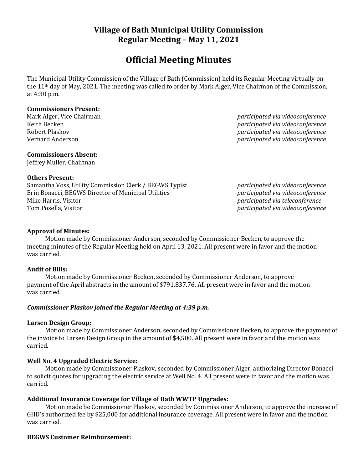# **Village of Bath Municipal Utility Commission Regular Meeting – May 11, 2021**

# **Official Meeting Minutes**

The Municipal Utility Commission of the Village of Bath (Commission) held its Regular Meeting virtually on the 11th day of May, 2021. The meeting was called to order by Mark Alger, Vice Chairman of the Commission, at 4:30 p.m.

## **Commissioners Present:**

Mark Alger, Vice Chairman *participated via videoconference* Keith Becken *participated via videoconference* Robert Plaskov *participated via videoconference* Vernard Anderson *participated via videoconference*

## **Commissioners Absent:**

Jeffrey Muller, Chairman

#### **Others Present:**

Samantha Voss, Utility Commission Clerk / BEGWS Typist *participated via videoconference* Erin Bonacci, BEGWS Director of Municipal Utilities *participated via videoconference* Mike Harris, Visitor *participated via teleconference* Tom Posella, Visitor *participated via videoconference*

## **Approval of Minutes:**

Motion made by Commissioner Anderson, seconded by Commissioner Becken, to approve the meeting minutes of the Regular Meeting held on April 13, 2021. All present were in favor and the motion was carried.

#### **Audit of Bills:**

Motion made by Commissioner Becken, seconded by Commissioner Anderson, to approve payment of the April abstracts in the amount of \$791,837.76. All present were in favor and the motion was carried.

## *Commissioner Plaskov joined the Regular Meeting at 4:39 p.m.*

#### **Larsen Design Group:**

Motion made by Commissioner Anderson, seconded by Commissioner Becken, to approve the payment of the invoice to Larsen Design Group in the amount of \$4,500. All present were in favor and the motion was carried.

#### **Well No. 4 Upgraded Electric Service:**

Motion made by Commissioner Plaskov, seconded by Commissioner Alger, authorizing Director Bonacci to solicit quotes for upgrading the electric service at Well No. 4. All present were in favor and the motion was carried.

## **Additional Insurance Coverage for Village of Bath WWTP Upgrades:**

Motion made be Commissioner Plaskov, seconded by Commissioner Anderson, to approve the increase of GHD's authorized fee by \$25,000 for additional insurance coverage. All present were in favor and the motion was carried.

#### **BEGWS Customer Reimbursement:**